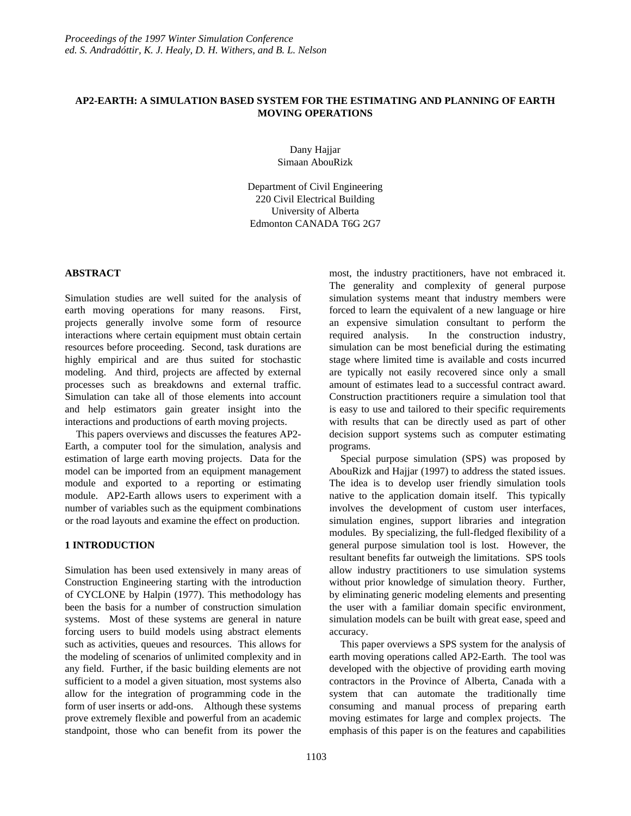# **AP2-EARTH: A SIMULATION BASED SYSTEM FOR THE ESTIMATING AND PLANNING OF EARTH MOVING OPERATIONS**

Dany Hajjar Simaan AbouRizk

Department of Civil Engineering 220 Civil Electrical Building University of Alberta Edmonton CANADA T6G 2G7

### **ABSTRACT**

Simulation studies are well suited for the analysis of earth moving operations for many reasons. First, projects generally involve some form of resource interactions where certain equipment must obtain certain resources before proceeding. Second, task durations are highly empirical and are thus suited for stochastic modeling. And third, projects are affected by external processes such as breakdowns and external traffic. Simulation can take all of those elements into account and help estimators gain greater insight into the interactions and productions of earth moving projects.

This papers overviews and discusses the features AP2- Earth, a computer tool for the simulation, analysis and estimation of large earth moving projects. Data for the model can be imported from an equipment management module and exported to a reporting or estimating module. AP2-Earth allows users to experiment with a number of variables such as the equipment combinations or the road layouts and examine the effect on production.

# **1 INTRODUCTION**

Simulation has been used extensively in many areas of Construction Engineering starting with the introduction of CYCLONE by Halpin (1977). This methodology has been the basis for a number of construction simulation systems. Most of these systems are general in nature forcing users to build models using abstract elements such as activities, queues and resources. This allows for the modeling of scenarios of unlimited complexity and in any field. Further, if the basic building elements are not sufficient to a model a given situation, most systems also allow for the integration of programming code in the form of user inserts or add-ons. Although these systems prove extremely flexible and powerful from an academic standpoint, those who can benefit from its power the

most, the industry practitioners, have not embraced it. The generality and complexity of general purpose simulation systems meant that industry members were forced to learn the equivalent of a new language or hire an expensive simulation consultant to perform the required analysis. In the construction industry, simulation can be most beneficial during the estimating stage where limited time is available and costs incurred are typically not easily recovered since only a small amount of estimates lead to a successful contract award. Construction practitioners require a simulation tool that is easy to use and tailored to their specific requirements with results that can be directly used as part of other decision support systems such as computer estimating programs.

Special purpose simulation (SPS) was proposed by AbouRizk and Hajjar (1997) to address the stated issues. The idea is to develop user friendly simulation tools native to the application domain itself. This typically involves the development of custom user interfaces, simulation engines, support libraries and integration modules. By specializing, the full-fledged flexibility of a general purpose simulation tool is lost. However, the resultant benefits far outweigh the limitations. SPS tools allow industry practitioners to use simulation systems without prior knowledge of simulation theory. Further, by eliminating generic modeling elements and presenting the user with a familiar domain specific environment, simulation models can be built with great ease, speed and accuracy.

This paper overviews a SPS system for the analysis of earth moving operations called AP2-Earth. The tool was developed with the objective of providing earth moving contractors in the Province of Alberta, Canada with a system that can automate the traditionally time consuming and manual process of preparing earth moving estimates for large and complex projects. The emphasis of this paper is on the features and capabilities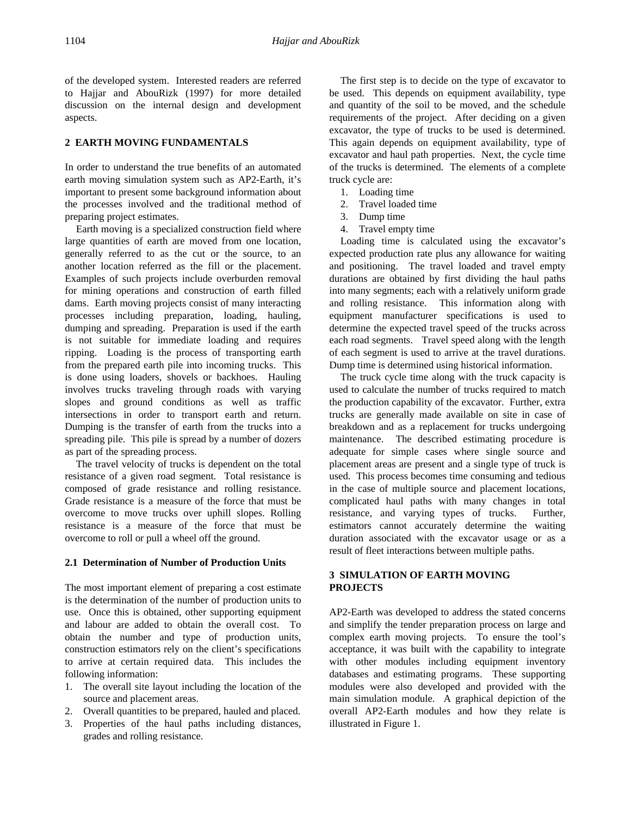of the developed system. Interested readers are referred to Hajjar and AbouRizk (1997) for more detailed discussion on the internal design and development aspects.

### **2 EARTH MOVING FUNDAMENTALS**

In order to understand the true benefits of an automated earth moving simulation system such as AP2-Earth, it's important to present some background information about the processes involved and the traditional method of preparing project estimates.

Earth moving is a specialized construction field where large quantities of earth are moved from one location, generally referred to as the cut or the source, to an another location referred as the fill or the placement. Examples of such projects include overburden removal for mining operations and construction of earth filled dams. Earth moving projects consist of many interacting processes including preparation, loading, hauling, dumping and spreading. Preparation is used if the earth is not suitable for immediate loading and requires ripping. Loading is the process of transporting earth from the prepared earth pile into incoming trucks. This is done using loaders, shovels or backhoes. Hauling involves trucks traveling through roads with varying slopes and ground conditions as well as traffic intersections in order to transport earth and return. Dumping is the transfer of earth from the trucks into a spreading pile. This pile is spread by a number of dozers as part of the spreading process.

The travel velocity of trucks is dependent on the total resistance of a given road segment. Total resistance is composed of grade resistance and rolling resistance. Grade resistance is a measure of the force that must be overcome to move trucks over uphill slopes. Rolling resistance is a measure of the force that must be overcome to roll or pull a wheel off the ground.

#### **2.1 Determination of Number of Production Units**

The most important element of preparing a cost estimate is the determination of the number of production units to use. Once this is obtained, other supporting equipment and labour are added to obtain the overall cost. To obtain the number and type of production units, construction estimators rely on the client's specifications to arrive at certain required data. This includes the following information:

- 1. The overall site layout including the location of the source and placement areas.
- 2. Overall quantities to be prepared, hauled and placed.
- 3. Properties of the haul paths including distances, grades and rolling resistance.

The first step is to decide on the type of excavator to be used. This depends on equipment availability, type and quantity of the soil to be moved, and the schedule requirements of the project. After deciding on a given excavator, the type of trucks to be used is determined. This again depends on equipment availability, type of excavator and haul path properties. Next, the cycle time of the trucks is determined. The elements of a complete truck cycle are:

- 1. Loading time
- 2. Travel loaded time
- 3. Dump time
- 4. Travel empty time

Loading time is calculated using the excavator's expected production rate plus any allowance for waiting and positioning. The travel loaded and travel empty durations are obtained by first dividing the haul paths into many segments; each with a relatively uniform grade and rolling resistance. This information along with equipment manufacturer specifications is used to determine the expected travel speed of the trucks across each road segments. Travel speed along with the length of each segment is used to arrive at the travel durations. Dump time is determined using historical information.

The truck cycle time along with the truck capacity is used to calculate the number of trucks required to match the production capability of the excavator. Further, extra trucks are generally made available on site in case of breakdown and as a replacement for trucks undergoing maintenance. The described estimating procedure is adequate for simple cases where single source and placement areas are present and a single type of truck is used. This process becomes time consuming and tedious in the case of multiple source and placement locations, complicated haul paths with many changes in total resistance, and varying types of trucks. Further, estimators cannot accurately determine the waiting duration associated with the excavator usage or as a result of fleet interactions between multiple paths.

# **3 SIMULATION OF EARTH MOVING PROJECTS**

AP2-Earth was developed to address the stated concerns and simplify the tender preparation process on large and complex earth moving projects. To ensure the tool's acceptance, it was built with the capability to integrate with other modules including equipment inventory databases and estimating programs. These supporting modules were also developed and provided with the main simulation module. A graphical depiction of the overall AP2-Earth modules and how they relate is illustrated in Figure 1.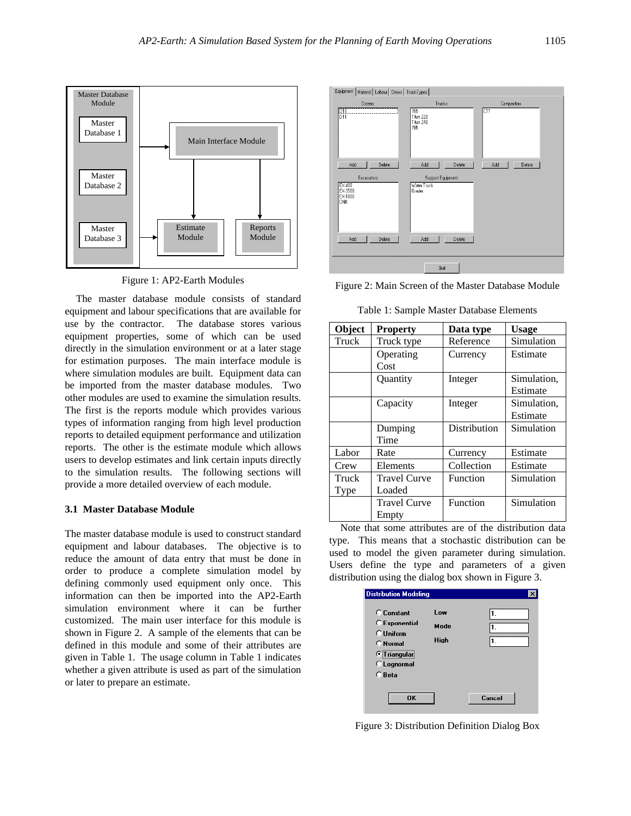

Figure 1: AP2-Earth Modules

The master database module consists of standard equipment and labour specifications that are available for use by the contractor. The database stores various equipment properties, some of which can be used directly in the simulation environment or at a later stage for estimation purposes. The main interface module is where simulation modules are built. Equipment data can be imported from the master database modules. Two other modules are used to examine the simulation results. The first is the reports module which provides various types of information ranging from high level production reports to detailed equipment performance and utilization reports. The other is the estimate module which allows users to develop estimates and link certain inputs directly to the simulation results. The following sections will provide a more detailed overview of each module.

### **3.1 Master Database Module**

The master database module is used to construct standard equipment and labour databases. The objective is to reduce the amount of data entry that must be done in order to produce a complete simulation model by defining commonly used equipment only once. This information can then be imported into the AP2-Earth simulation environment where it can be further customized. The main user interface for this module is shown in Figure 2. A sample of the elements that can be defined in this module and some of their attributes are given in Table 1. The usage column in Table 1 indicates whether a given attribute is used as part of the simulation or later to prepare an estimate.





Table 1: Sample Master Database Elements

| Object | <b>Property</b>     | Data type    | <b>Usage</b> |  |
|--------|---------------------|--------------|--------------|--|
| Truck  | Truck type          | Reference    | Simulation   |  |
|        | Operating           | Currency     | Estimate     |  |
|        | Cost                |              |              |  |
|        | Quantity            | Integer      | Simulation,  |  |
|        |                     |              | Estimate     |  |
|        | Capacity            | Integer      | Simulation,  |  |
|        |                     |              | Estimate     |  |
|        | Dumping             | Distribution | Simulation   |  |
|        | Time                |              |              |  |
| Labor  | Rate                | Currency     | Estimate     |  |
| Crew   | Elements            | Collection   | Estimate     |  |
| Truck  | <b>Travel Curve</b> | Function     | Simulation   |  |
| Type   | Loaded              |              |              |  |
|        | <b>Travel Curve</b> | Function     | Simulation   |  |
|        | Empty               |              |              |  |

Note that some attributes are of the distribution data type. This means that a stochastic distribution can be used to model the given parameter during simulation. Users define the type and parameters of a given distribution using the dialog box shown in Figure 3.

| <b>Distribution Modeling</b>                                                                                                  |                     |                |
|-------------------------------------------------------------------------------------------------------------------------------|---------------------|----------------|
| C Constant<br>C Exponential<br>$\bigcap$ Hniform<br>$C$ Normal<br><b><i>C</i></b> Triangular<br>C Lognormal<br>$\subset$ Beta | Low<br>Mode<br>High | 1.<br>1.<br>1. |
| <b>OK</b>                                                                                                                     |                     | Cancel         |

Figure 3: Distribution Definition Dialog Box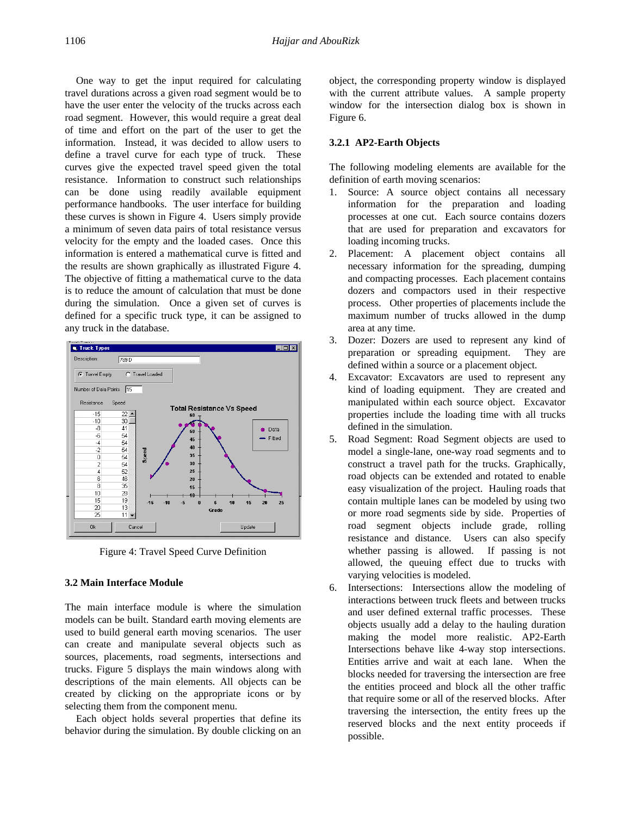One way to get the input required for calculating travel durations across a given road segment would be to have the user enter the velocity of the trucks across each road segment. However, this would require a great deal of time and effort on the part of the user to get the information. Instead, it was decided to allow users to define a travel curve for each type of truck. These curves give the expected travel speed given the total resistance. Information to construct such relationships can be done using readily available equipment performance handbooks. The user interface for building these curves is shown in Figure 4. Users simply provide a minimum of seven data pairs of total resistance versus velocity for the empty and the loaded cases. Once this information is entered a mathematical curve is fitted and the results are shown graphically as illustrated Figure 4. The objective of fitting a mathematical curve to the data is to reduce the amount of calculation that must be done during the simulation. Once a given set of curves is defined for a specific truck type, it can be assigned to any truck in the database.



Figure 4: Travel Speed Curve Definition

### **3.2 Main Interface Module**

The main interface module is where the simulation models can be built. Standard earth moving elements are used to build general earth moving scenarios. The user can create and manipulate several objects such as sources, placements, road segments, intersections and trucks. Figure 5 displays the main windows along with descriptions of the main elements. All objects can be created by clicking on the appropriate icons or by selecting them from the component menu.

Each object holds several properties that define its behavior during the simulation. By double clicking on an

object, the corresponding property window is displayed with the current attribute values. A sample property window for the intersection dialog box is shown in Figure 6.

#### **3.2.1 AP2-Earth Objects**

The following modeling elements are available for the definition of earth moving scenarios:

- 1. Source: A source object contains all necessary information for the preparation and loading processes at one cut. Each source contains dozers that are used for preparation and excavators for loading incoming trucks.
- 2. Placement: A placement object contains all necessary information for the spreading, dumping and compacting processes. Each placement contains dozers and compactors used in their respective process. Other properties of placements include the maximum number of trucks allowed in the dump area at any time.
- 3. Dozer: Dozers are used to represent any kind of preparation or spreading equipment. They are defined within a source or a placement object.
- 4. Excavator: Excavators are used to represent any kind of loading equipment. They are created and manipulated within each source object. Excavator properties include the loading time with all trucks defined in the simulation.
- 5. Road Segment: Road Segment objects are used to model a single-lane, one-way road segments and to construct a travel path for the trucks. Graphically, road objects can be extended and rotated to enable easy visualization of the project. Hauling roads that contain multiple lanes can be modeled by using two or more road segments side by side. Properties of road segment objects include grade, rolling resistance and distance. Users can also specify whether passing is allowed. If passing is not allowed, the queuing effect due to trucks with varying velocities is modeled.
- 6. Intersections: Intersections allow the modeling of interactions between truck fleets and between trucks and user defined external traffic processes. These objects usually add a delay to the hauling duration making the model more realistic. AP2-Earth Intersections behave like 4-way stop intersections. Entities arrive and wait at each lane. When the blocks needed for traversing the intersection are free the entities proceed and block all the other traffic that require some or all of the reserved blocks. After traversing the intersection, the entity frees up the reserved blocks and the next entity proceeds if possible.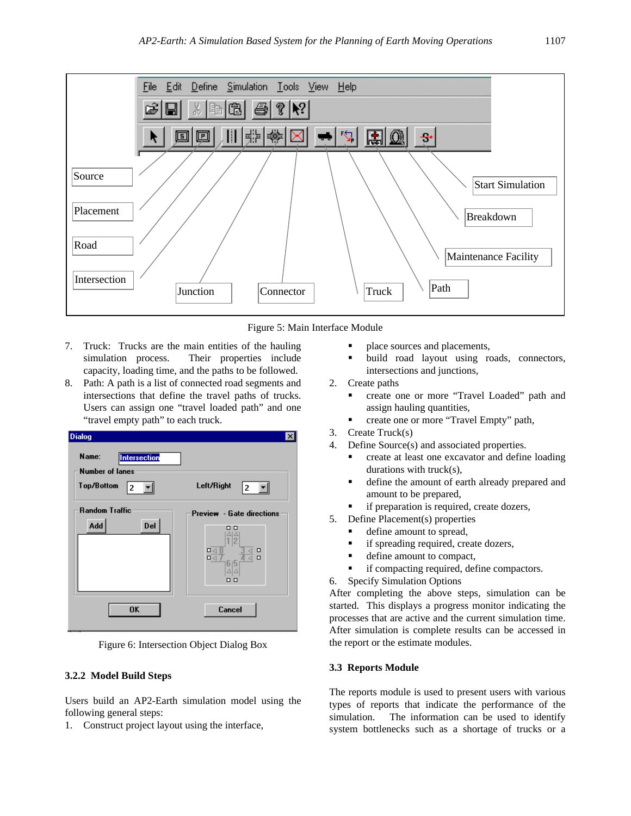

Figure 5: Main Interface Module

- 7. Truck: Trucks are the main entities of the hauling simulation process. Their properties include capacity, loading time, and the paths to be followed.
- 8. Path: A path is a list of connected road segments and intersections that define the travel paths of trucks. Users can assign one "travel loaded path" and one "travel empty path" to each truck.



Figure 6: Intersection Object Dialog Box

# **3.2.2 Model Build Steps**

Users build an AP2-Earth simulation model using the following general steps:

1. Construct project layout using the interface,

- place sources and placements,
- ß build road layout using roads, connectors, intersections and junctions,
- 2. Create paths
	- ß create one or more "Travel Loaded" path and assign hauling quantities,
	- ß create one or more "Travel Empty" path,
- 3. Create Truck(s)
- 4. Define Source(s) and associated properties.
	- ß create at least one excavator and define loading durations with truck(s),
	- **•** define the amount of earth already prepared and amount to be prepared,
	- ß if preparation is required, create dozers,
- 5. Define Placement(s) properties
	- define amount to spread,
	- **f** if spreading required, create dozers,
	- **define amount to compact,**
	- **f** if compacting required, define compactors.
- 6. Specify Simulation Options

After completing the above steps, simulation can be started. This displays a progress monitor indicating the processes that are active and the current simulation time. After simulation is complete results can be accessed in the report or the estimate modules.

# **3.3 Reports Module**

The reports module is used to present users with various types of reports that indicate the performance of the simulation. The information can be used to identify system bottlenecks such as a shortage of trucks or a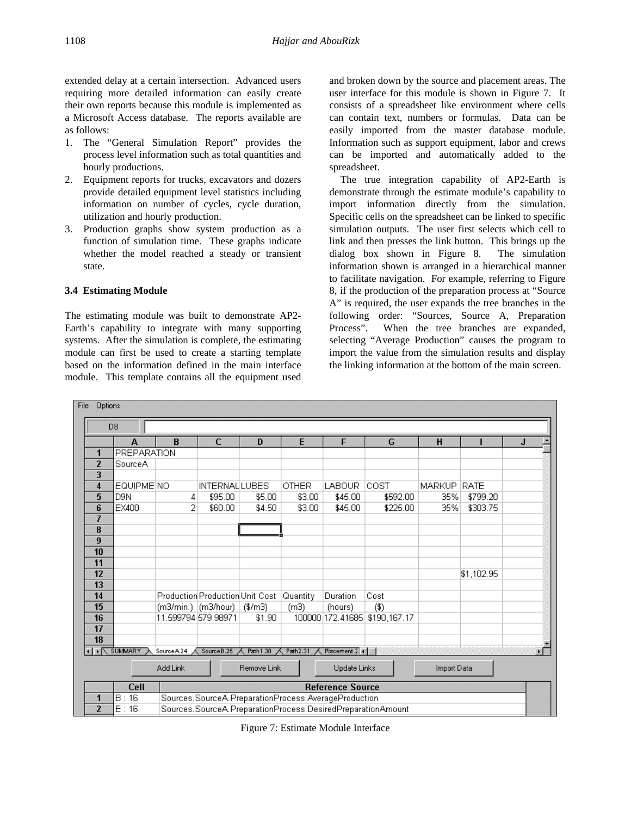extended delay at a certain intersection. Advanced users requiring more detailed information can easily create their own reports because this module is implemented as a Microsoft Access database. The reports available are as follows:

- 1. The "General Simulation Report" provides the process level information such as total quantities and hourly productions.
- 2. Equipment reports for trucks, excavators and dozers provide detailed equipment level statistics including information on number of cycles, cycle duration, utilization and hourly production.
- 3. Production graphs show system production as a function of simulation time. These graphs indicate whether the model reached a steady or transient state.

### **3.4 Estimating Module**

The estimating module was built to demonstrate AP2- Earth's capability to integrate with many supporting systems. After the simulation is complete, the estimating module can first be used to create a starting template based on the information defined in the main interface module. This template contains all the equipment used

and broken down by the source and placement areas. The user interface for this module is shown in Figure 7. It consists of a spreadsheet like environment where cells can contain text, numbers or formulas. Data can be easily imported from the master database module. Information such as support equipment, labor and crews can be imported and automatically added to the spreadsheet.

The true integration capability of AP2-Earth is demonstrate through the estimate module's capability to import information directly from the simulation. Specific cells on the spreadsheet can be linked to specific simulation outputs. The user first selects which cell to link and then presses the link button. This brings up the dialog box shown in Figure 8. The simulation information shown is arranged in a hierarchical manner to facilitate navigation. For example, referring to Figure 8, if the production of the preparation process at "Source A" is required, the user expands the tree branches in the following order: "Sources, Source A, Preparation Process". When the tree branches are expanded, selecting "Average Production" causes the program to import the value from the simulation results and display the linking information at the bottom of the main screen.

| <b>Options</b><br>File |                |                                                        |                                                                |                       |              |                  |              |             |            |   |  |
|------------------------|----------------|--------------------------------------------------------|----------------------------------------------------------------|-----------------------|--------------|------------------|--------------|-------------|------------|---|--|
|                        | D <sub>8</sub> |                                                        |                                                                |                       |              |                  |              |             |            |   |  |
|                        | А              | B                                                      | C                                                              | D                     | E            | F                | G            | H           |            | J |  |
| 1                      | PREPARATION    |                                                        |                                                                |                       |              |                  |              |             |            |   |  |
| $\overline{2}$         | SourceA        |                                                        |                                                                |                       |              |                  |              |             |            |   |  |
| 3                      |                |                                                        |                                                                |                       |              |                  |              |             |            |   |  |
| 4                      | EQUIPME NO     |                                                        | INTERNAL LUBES                                                 |                       | <b>OTHER</b> | LABOUR           | COST         | MARKUP RATE |            |   |  |
| 5                      | D9N            | 4                                                      | \$95.00                                                        | \$5.00                | \$3.00       | \$45.00          | \$592.00     | 35%         | \$799.20   |   |  |
| 6                      | EX400          | 2                                                      | \$60.00                                                        | \$4.50                | \$3.00       | \$45.00          | \$225.00     | 35%         | \$303.75   |   |  |
| 7                      |                |                                                        |                                                                |                       |              |                  |              |             |            |   |  |
| 8                      |                |                                                        |                                                                |                       |              |                  |              |             |            |   |  |
| 9                      |                |                                                        |                                                                |                       |              |                  |              |             |            |   |  |
| 10                     |                |                                                        |                                                                |                       |              |                  |              |             |            |   |  |
| 11                     |                |                                                        |                                                                |                       |              |                  |              |             |            |   |  |
| 12                     |                |                                                        |                                                                |                       |              |                  |              |             | \$1,102.95 |   |  |
| 13                     |                |                                                        |                                                                |                       |              |                  |              |             |            |   |  |
| 14<br>15               |                |                                                        | Production Production Unit Cost                                |                       | Quantity     | Duration         | Cost         |             |            |   |  |
| 16                     |                |                                                        | $(m3/min.)$ $(m3/hour)$                                        | (\$m3)                | (m3)         | (hours)          | $(\$)$       |             |            |   |  |
| 17                     |                | 11.599794 579.98971                                    |                                                                | \$1.90                |              | 100000 172.41685 | \$190,167.17 |             |            |   |  |
| 18                     |                |                                                        |                                                                |                       |              |                  |              |             |            |   |  |
|                        | SUMMARY        | SourceA24                                              | Source B.25                                                    | 入 Path1.30 人 Path2.31 |              | Placement.1 4    |              |             |            |   |  |
|                        |                |                                                        |                                                                |                       |              |                  |              |             |            |   |  |
|                        |                | Add Link<br>Remove Link<br>Update Links<br>Import Data |                                                                |                       |              |                  |              |             |            |   |  |
|                        | Cell           | <b>Reference Source</b>                                |                                                                |                       |              |                  |              |             |            |   |  |
| 1                      | B:16           |                                                        | Sources. SourceA. PreparationProcess. AverageProduction        |                       |              |                  |              |             |            |   |  |
| $\overline{2}$         | E:16           |                                                        | Sources. SourceA. PreparationProcess. DesiredPreparationAmount |                       |              |                  |              |             |            |   |  |

Figure 7: Estimate Module Interface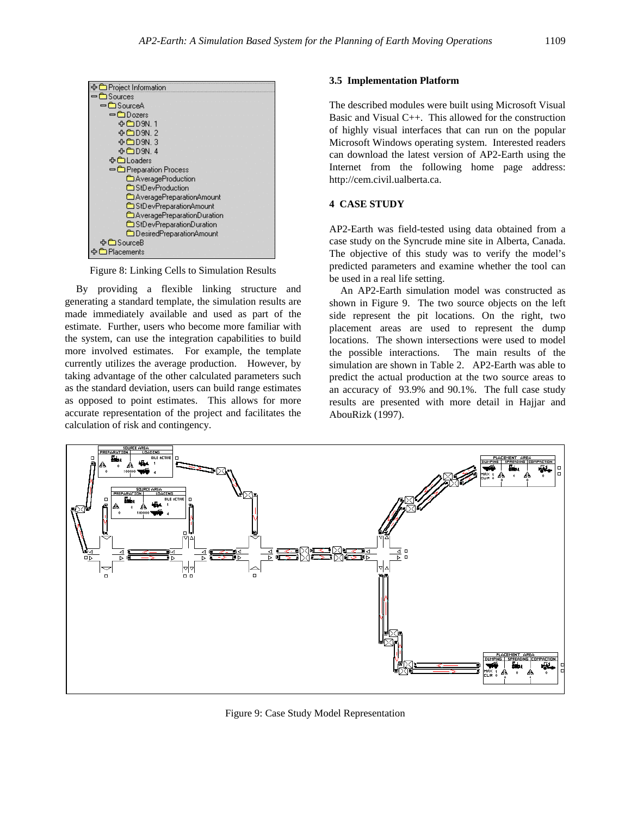

Figure 8: Linking Cells to Simulation Results

By providing a flexible linking structure and generating a standard template, the simulation results are made immediately available and used as part of the estimate. Further, users who become more familiar with the system, can use the integration capabilities to build more involved estimates. For example, the template currently utilizes the average production. However, by taking advantage of the other calculated parameters such as the standard deviation, users can build range estimates as opposed to point estimates. This allows for more accurate representation of the project and facilitates the calculation of risk and contingency.

### **3.5 Implementation Platform**

The described modules were built using Microsoft Visual Basic and Visual C++. This allowed for the construction of highly visual interfaces that can run on the popular Microsoft Windows operating system. Interested readers can download the latest version of AP2-Earth using the Internet from the following home page address: http://cem.civil.ualberta.ca.

## **4 CASE STUDY**

AP2-Earth was field-tested using data obtained from a case study on the Syncrude mine site in Alberta, Canada. The objective of this study was to verify the model's predicted parameters and examine whether the tool can be used in a real life setting.

An AP2-Earth simulation model was constructed as shown in Figure 9. The two source objects on the left side represent the pit locations. On the right, two placement areas are used to represent the dump locations. The shown intersections were used to model the possible interactions. The main results of the simulation are shown in Table 2. AP2-Earth was able to predict the actual production at the two source areas to an accuracy of 93.9% and 90.1%. The full case study results are presented with more detail in Hajjar and AbouRizk (1997).



Figure 9: Case Study Model Representation